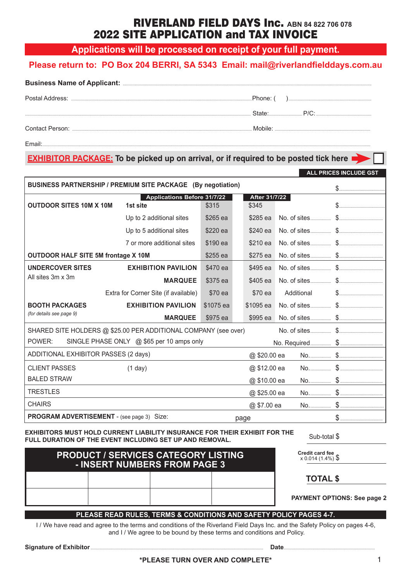## RIVERLAND FIELD DAYS Inc. **ABN 84 822 706 078** 2022 SITE APPLICATION and TAX INVOICE

**Applications will be processed on receipt of your full payment.**

#### **Please return to: PO Box 204 BERRI, SA 5343 Email: mail@riverlandfielddays.com.au**

| Postal Address: | ∴Phone: (   |  |  |
|-----------------|-------------|--|--|
|                 | State: P/C: |  |  |
| Contact Person: |             |  |  |

Email:.............................................................................................................................................................................................................................................................................................

#### **EXHIBITOR PACKAGE:** To be picked up on arrival, or if required to be posted tick here

| BUSINESS PARTNERSHIP / PREMIUM SITE PACKAGE (By negotiation)    |                                                |           |              |                        |            |  |
|-----------------------------------------------------------------|------------------------------------------------|-----------|--------------|------------------------|------------|--|
| <b>OUTDOOR SITES 10M X 10M</b>                                  | <b>Applications Before 31/7/22</b><br>1st site | \$315     |              | After 31/7/22<br>\$345 |            |  |
|                                                                 | Up to 2 additional sites                       | \$265 ea  |              | \$285 ea               |            |  |
|                                                                 | Up to 5 additional sites                       | \$220 ea  |              | \$240 ea               |            |  |
|                                                                 | 7 or more additional sites                     | \$190 ea  |              | \$210 ea               |            |  |
| <b>OUTDOOR HALF SITE 5M frontage X 10M</b>                      |                                                | \$255 ea  |              | \$275 ea               |            |  |
| <b>UNDERCOVER SITES</b>                                         | <b>EXHIBITION PAVILION</b>                     | \$470 ea  |              | \$495 ea               |            |  |
| All sites 3m x 3m                                               | <b>MARQUEE</b>                                 | \$375 ea  |              | \$405 ea               |            |  |
|                                                                 | Extra for Corner Site (if available)           | \$70 ea   |              | \$70 ea                | Additional |  |
| <b>BOOTH PACKAGES</b>                                           | <b>EXHIBITION PAVILION</b>                     | \$1075 ea |              | \$1095 ea              |            |  |
| (for details see page 9)                                        | <b>MARQUEE</b>                                 | \$975 ea  |              | \$995 ea               |            |  |
| SHARED SITE HOLDERS @ \$25.00 PER ADDITIONAL COMPANY (see over) |                                                |           |              |                        |            |  |
| POWER:<br>SINGLE PHASE ONLY @ \$65 per 10 amps only             |                                                |           |              |                        |            |  |
| ADDITIONAL EXHIBITOR PASSES (2 days)                            |                                                |           | @ \$20.00 ea |                        |            |  |
| <b>CLIENT PASSES</b>                                            | (1 day)                                        |           |              | @ \$12.00 ea           |            |  |
| <b>BALED STRAW</b>                                              |                                                |           |              | @ \$10.00 ea           |            |  |
| <b>TRESTLES</b>                                                 |                                                |           |              | @ \$25.00 ea           |            |  |
| <b>CHAIRS</b>                                                   |                                                |           |              | @ \$7.00 ea            |            |  |
| PROGRAM ADVERTISEMENT - (see page 3) Size:                      |                                                |           |              | page                   |            |  |

#### **EXHIBITORS MUST HOLD CURRENT LIABILITY INSURANCE FOR THEIR EXHIBIT FOR THE FULL DURATION OF THE EVENT INCLUDING SET UP AND REMOVAL.**

# **PRODUCT / SERVICES CATEGORY LISTING - INSERT NUMBERS FROM PAGE 3**

**Credit card fee**<br>x 0.014 (1.4%) \$

Sub-total \$

**TOTAL \$**

**PAYMENT OPTIONS: See page 2**

**ALL PRICES INCLUDE GST**

#### **PLEASE READ RULES, TERMS & CONDITIONS AND SAFETY POLICY PAGES 4-7.**

I / We have read and agree to the terms and conditions of the Riverland Field Days Inc. and the Safety Policy on pages 4-6, and I / We agree to be bound by these terms and conditions and Policy.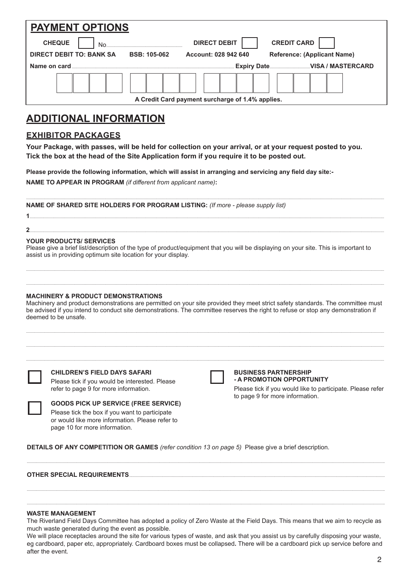| <b>PAYMENT OPTIONS</b>          |                     |                                                  |                                    |
|---------------------------------|---------------------|--------------------------------------------------|------------------------------------|
| <b>CHEQUE</b><br>No.            |                     | <b>DIRECT DEBIT</b>                              | <b>CREDIT CARD</b>                 |
| <b>DIRECT DEBIT TO: BANK SA</b> | <b>BSB: 105-062</b> | Account: 028 942 640                             | <b>Reference: (Applicant Name)</b> |
| Name on card.                   |                     |                                                  |                                    |
|                                 |                     |                                                  |                                    |
|                                 |                     | A Credit Card payment surcharge of 1.4% applies. |                                    |

## **ADDITIONAL INFORMATION**

#### **EXHIBITOR PACKAGES**

**Your Package, with passes, will be held for collection on your arrival, or at your request posted to you. Tick the box at the head of the Site Application form if you require it to be posted out.** 

**Please provide the following information, which will assist in arranging and servicing any field day site:- NAME TO APPEAR IN PROGRAM** *(if different from applicant name)***:**

**NAME OF SHARED SITE HOLDERS FOR PROGRAM LISTING:** *(If more - please supply list)*

**1**....................................................................................................................................................................................................................................................................................................................

#### **YOUR PRODUCTS/ SERVICES**

Please give a brief list/description of the type of product/equipment that you will be displaying on your site. This is important to assist us in providing optimum site location for your display.

.......................................................................................................................................................................................................................................................................................................................

**2**....................................................................................................................................................................................................................................................................................................................

....................................................................................................................................................................................................................................................................................................................... .......................................................................................................................................................................................................................................................................................................................

#### **MACHINERY & PRODUCT DEMONSTRATIONS**

Machinery and product demonstrations are permitted on your site provided they meet strict safety standards. The committee must be advised if you intend to conduct site demonstrations. The committee reserves the right to refuse or stop any demonstration if deemed to be unsafe.

....................................................................................................................................................................................................................................................................................................................... ....................................................................................................................................................................................................................................................................................................................... .......................................................................................................................................................................................................................................................................................................................

#### **CHILDREN'S FIELD DAYS SAFARI**

page 10 for more information.

Please tick if you would be interested. Please refer to page 9 for more information.

**GOODS PICK UP SERVICE (FREE SERVICE)** Please tick the box if you want to participate or would like more information. Please refer to

#### **BUSINESS PARTNERSHIP - A PROMOTION OPPORTUNITY**

Please tick if you would like to participate. Please refer to page 9 for more information.

**DETAILS OF ANY COMPETITION OR GAMES** *(refer condition 13 on page 5)* Please give a brief description.

#### **OTHER SPECIAL REQUIREMENTS.......**

#### **WASTE MANAGEMENT**

The Riverland Field Days Committee has adopted a policy of Zero Waste at the Field Days. This means that we aim to recycle as much waste generated during the event as possible.

.......................................................................................................................................................................................................................................................................................................................

....................................................................................................................................................................................................................................................................................................................... .......................................................................................................................................................................................................................................................................................................................

We will place receptacles around the site for various types of waste, and ask that you assist us by carefully disposing your waste, eg cardboard, paper etc, appropriately. Cardboard boxes must be collapsed**.** There will be a cardboard pick up service before and after the event.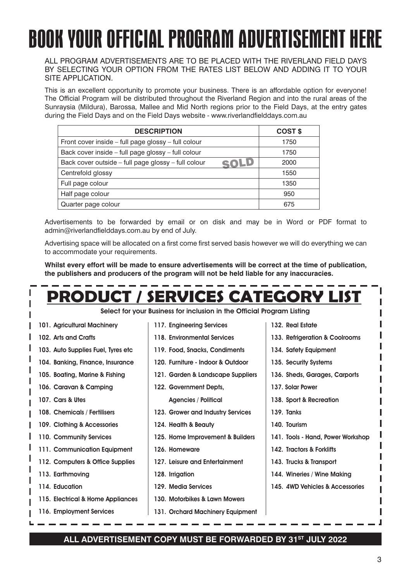## BOOK YOUR OFFICIAL PROGRAM ADVERTISEMENT HERE ALL PROGRAM ADVERTISEMENTS ARE TO BE PLACED WITH THE RIVER WITH THE RIVER WITH THE RIVER. IN THE RIVER OF RIVE SE TOOR OFFICINE FROMANNIN ADVENTIOEINENT HE YOUR SITE APPLICATION. BOOK YOUR OFFICIAL PROGRAM ADVERTISEMENT HERE

ALL PROGRAM ADVERTISEMENTS ARE TO BE PLACED WITH THE RIVERLAND FIELD DAYS BY SELECTING YOUR OPTION FROM THE RATES LIST BELOW AND ADDING IT TO YOUR SITE APPLICATION. The distributies throughout the Riverland Region - to every household in all towns, and towns, and towns, and towns, and towns, and towns, and towns, and towns, and towns, and towns, and towns, and towns, ALL PROGRAM ADVERTISEMENTS ARE TO BE PLACED WITH THE RIVERLAND FIELD DAYS

This is an excellent opportunity to promote your business. There is an affordable option for everyone! The The Official Program will be distributed throughout the Riverland Region and into the rural areas of the Sunraysia (Mildura), Barossa, Mallee and Mid North regions prior to the Field Days, at the entry gates This is an excellent opportunity to promote your business. There is an affordable option for everyone! during the Field Days and on the Field Days website - www.riverlandfielddays.com.au

| COST \$ |
|---------|
| 1750    |
| 1750    |
| 2000    |
| 1550    |
| 1350    |
| 950     |
| 675     |
|         |

Advertisements to be forwarded by email or on disk and may be in Word or PDF format to admin@riverlandfielddays.com.au by end of July.

Advertising space will be allocated on a first come first served basis however we will do everything we can to accommodate your re Advertising space will be allocated on a first come first served basis however we will do everything we can accommodate your requirements. to accommodate your requirements.

Whilst every effort will be made to ensure advertisements will be correct at the time of publication which court will be made to ensure advertisements will be correct at the time of publication.<br>The nublichers and producers of the program will not be held liable for any inaccuracies **publishers and producers of the program will not be held liable for any inaccuracies. the publishers and producers of the program will not be held liable for any inaccuracies. Whilst every effort will be made to ensure advertisements will be correct at the time of publication,** 

# **WHOMADE EXECUTES WILL BE MADE TO MADE THE MADE THE MADE TO PUBLICATE ADDERS PRODUCT / SERVICES CATEGORY LIST** Counter page colour<br>
advertisements to be forwarded by email or on disk and may be in Word or PDF format to<br>
administratorial place to the format plant connellest specifies are will be allocated on a first come first serve

**PRODUCT Select for your Business for inclusion in the Official Program Listing<br>1. Agricultural Machinery | 117. Engineering Services | 132. Real Estate** 

- **101. Agricultural Machinery**  101. Agricultural Machinery
- **102. Arts and Crafts** 102. Arts and Crafts
- **101. Agricultural Machinery 103. Auto Supplies Fuel, Tyes etc** 103. Auto Supplies Fuel, Tyres etc
- 104. Banking, Finance, Insurance
- **105. Boating, Marine & Fishing**
- **104. Banking, Finance, Insurance 106. Caravan & Camping** 106. Caravan & Camping
- **105. Boating, Marine & Fishing 107. Cars & Utes** 107. Cars & Utes
- 108. Chemicals / Fertilisers
- 109. Clothing & Accessories
- **110. Community Services**
- **109. Clothing & Accessories 111. Communication Equipment** 111. Communication Equipment
- **110. Community Services 112. Computers & Office Supplies** 112. Computers & Office Supplies
- **111. Communication Equipment 113. Earthmoving** 113. Earthmoving
- **112. Computers & Office Supplies 114. Education** 114. Education
- **115. Electrical & Home Appliances**
- **114. Education 116. Employment Services** 116. Employment Services
- **117. Engineering Services** 117. Engineering Services
- **Select for your Business for inclusion in the Official Program Listing 118. Environmental Services** 118. Environmental Services
	- **117. Engineering Services 119. Food, Snacks, Condiments** 119. Food, Snacks, Condiments
	- **118. Environmental Services 120. Furniture Indoor & Outdoor** 120. Furniture Indoor & Outdoor
	- **119. Food, Snacks, Condiments 121. Garden Supplies** 121. Garden & Landscape Suppliers
	- **120. Furniture Indoor & Outdoor 122. Government Depts.,**  122. Government Depts, **121. Garden Supplies Agencies / Political Parties** Agencies / Political
	- **122. Government Depts., 123. Grower and Industry Services** 123. Grower and Industry Services
	- *Agencies Containmental Political* **123. Grower and Industrial Industrial Contract of Texas Industrial Industrial Contract of Texas Industrial Ind 124. Health & Beauty** 124. Health & Beauty
	- **124. Home improvement 125. Home Improvements** 125. Home Improvement & Builders
	- **125. Home Improvements 126. Homeware** 126. Homeware
	- **126. Homeware** 127. Leisure and Entertainment **128. Inc. 128. Inc. 128.** Inc.
	- **127. Leisure and Entertainment** 128. Irrigation **129. Media Services**
	- **128. Irrigation 130. Motorbikes & Lawn Mowers** 129. Media Services
	- **129. Media Services 131. Orchard Machinery,**  130. Motorbikes & Lawn Mowers
	- 131. Orchard Machinery Equipment
- **132. Real Estate** 132. Real Estate
- **133. Refrigeration &**  133. Refrigeration & Coolrooms
- 134. Safety Equipment
- **135. Security Systems**
- 136. Sheds, Garages, Carports
- **134. Safety Equipment** 137. Solar Power
- **135. Security Systems Carports** 138. Sport & Recreation **136. Sheds, Garages,**
- **137. Sport & Recreation** 139. Tanks
- **137. Sport & Recreation 138. Tanks** 140. Tourism
- **138. Tanks 139. Tourism 140. Tools - Hand, power,**  141. Tools - Hand, Power Workshop
- **139. Tourism** 142. Tractors & Forklifts
- **140. Tools Hand, power, 141. Tractors & Forklifts** 143. Trucks & Transport
- 144. Wineries / Wine Making
- 145. 4WD Vehicles & Accessories

**144. 144. 144. 144.** 

#### **116. Employment Services** ALL ADVERTISEMENT COPY MUST BE FORWARDED BY 31<sup>st</sup> JULY 2022

**131. Orchard Machinery,**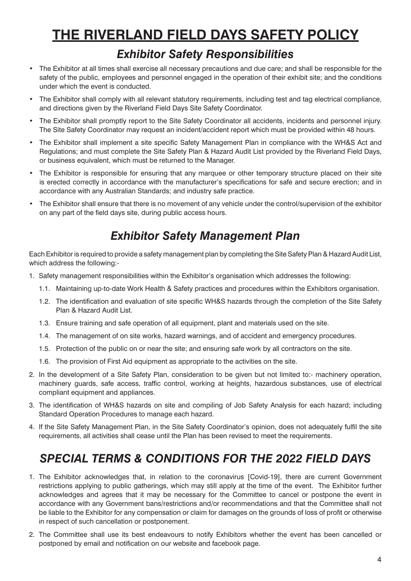# **THE RIVERLAND FIELD DAYS SAFETY POLICY**

## *Exhibitor Safety Responsibilities*

- The Exhibitor at all times shall exercise all necessary precautions and due care; and shall be responsible for the safety of the public, employees and personnel engaged in the operation of their exhibit site; and the conditions under which the event is conducted.
- The Exhibitor shall comply with all relevant statutory requirements, including test and tag electrical compliance, and directions given by the Riverland Field Days Site Safety Coordinator.
- The Exhibitor shall promptly report to the Site Safety Coordinator all accidents, incidents and personnel injury. The Site Safety Coordinator may request an incident/accident report which must be provided within 48 hours.
- The Exhibitor shall implement a site specific Safety Management Plan in compliance with the WH&S Act and Regulations; and must complete the Site Safety Plan & Hazard Audit List provided by the Riverland Field Days, or business equivalent, which must be returned to the Manager.
- The Exhibitor is responsible for ensuring that any marquee or other temporary structure placed on their site is erected correctly in accordance with the manufacturer's specifications for safe and secure erection; and in accordance with any Australian Standards; and industry safe practice.
- The Exhibitor shall ensure that there is no movement of any vehicle under the control/supervision of the exhibitor on any part of the field days site, during public access hours.

# *Exhibitor Safety Management Plan*

Each Exhibitor is required to provide a safety management plan by completing the Site Safety Plan & Hazard Audit List, which address the following:-

- 1. Safety management responsibilities within the Exhibitor's organisation which addresses the following:
	- 1.1. Maintaining up-to-date Work Health & Safety practices and procedures within the Exhibitors organisation.
	- 1.2. The identification and evaluation of site specific WH&S hazards through the completion of the Site Safety Plan & Hazard Audit List.
	- 1.3. Ensure training and safe operation of all equipment, plant and materials used on the site.
	- 1.4. The management of on site works, hazard warnings, and of accident and emergency procedures.
	- 1.5. Protection of the public on or near the site; and ensuring safe work by all contractors on the site.
	- 1.6. The provision of First Aid equipment as appropriate to the activities on the site.
- 2. In the development of a Site Safety Plan, consideration to be given but not limited to:- machinery operation, machinery guards, safe access, traffic control, working at heights, hazardous substances, use of electrical compliant equipment and appliances.
- 3. The identification of WH&S hazards on site and compiling of Job Safety Analysis for each hazard; including Standard Operation Procedures to manage each hazard.
- 4. If the Site Safety Management Plan, in the Site Safety Coordinator's opinion, does not adequately fulfil the site requirements, all activities shall cease until the Plan has been revised to meet the requirements.

# *SPECIAL TERMS & CONDITIONS FOR THE 2022 FIELD DAYS*

- 1. The Exhibitor acknowledges that, in relation to the coronavirus [Covid-19], there are current Government restrictions applying to public gatherings, which may still apply at the time of the event. The Exhibitor further acknowledges and agrees that it may be necessary for the Committee to cancel or postpone the event in accordance with any Government bans/restrictions and/or recommendations and that the Committee shall not be liable to the Exhibitor for any compensation or claim for damages on the grounds of loss of profit or otherwise in respect of such cancellation or postponement.
- 2. The Committee shall use its best endeavours to notify Exhibitors whether the event has been cancelled or postponed by email and notification on our website and facebook page.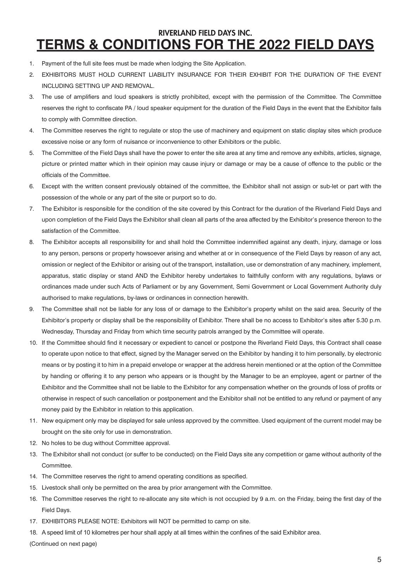## **TERMS & CONDITIONS FOR THE 2022 FIELD DAYS** RIVERLAND FIELD DAYS INC.

- 1. Payment of the full site fees must be made when lodging the Site Application.
- 2. EXHIBITORS MUST HOLD CURRENT LIABILITY INSURANCE FOR THEIR EXHIBIT FOR THE DURATION OF THE EVENT INCLUDING SETTING UP AND REMOVAL.
- 3. The use of amplifiers and loud speakers is strictly prohibited, except with the permission of the Committee. The Committee reserves the right to confiscate PA / loud speaker equipment for the duration of the Field Days in the event that the Exhibitor fails to comply with Committee direction.
- 4. The Committee reserves the right to regulate or stop the use of machinery and equipment on static display sites which produce excessive noise or any form of nuisance or inconvenience to other Exhibitors or the public.
- 5. The Committee of the Field Days shall have the power to enter the site area at any time and remove any exhibits, articles, signage, picture or printed matter which in their opinion may cause injury or damage or may be a cause of offence to the public or the officials of the Committee.
- 6. Except with the written consent previously obtained of the committee, the Exhibitor shall not assign or sub-let or part with the possession of the whole or any part of the site or purport so to do.
- 7. The Exhibitor is responsible for the condition of the site covered by this Contract for the duration of the Riverland Field Days and upon completion of the Field Days the Exhibitor shall clean all parts of the area affected by the Exhibitor's presence thereon to the satisfaction of the Committee.
- 8. The Exhibitor accepts all responsibility for and shall hold the Committee indemnified against any death, injury, damage or loss to any person, persons or property howsoever arising and whether at or in consequence of the Field Days by reason of any act, omission or neglect of the Exhibitor or arising out of the transport, installation, use or demonstration of any machinery, implement, apparatus, static display or stand AND the Exhibitor hereby undertakes to faithfully conform with any regulations, bylaws or ordinances made under such Acts of Parliament or by any Government, Semi Government or Local Government Authority duly authorised to make regulations, by-laws or ordinances in connection herewith.
- 9. The Committee shall not be liable for any loss of or damage to the Exhibitor's property whilst on the said area. Security of the Exhibitor's property or display shall be the responsibility of Exhibitor. There shall be no access to Exhibitor's sites after 5.30 p.m. Wednesday, Thursday and Friday from which time security patrols arranged by the Committee will operate.
- 10. If the Committee should find it necessary or expedient to cancel or postpone the Riverland Field Days, this Contract shall cease to operate upon notice to that effect, signed by the Manager served on the Exhibitor by handing it to him personally, by electronic means or by posting it to him in a prepaid envelope or wrapper at the address herein mentioned or at the option of the Committee by handing or offering it to any person who appears or is thought by the Manager to be an employee, agent or partner of the Exhibitor and the Committee shall not be liable to the Exhibitor for any compensation whether on the grounds of loss of profits or otherwise in respect of such cancellation or postponement and the Exhibitor shall not be entitled to any refund or payment of any money paid by the Exhibitor in relation to this application.
- 11. New equipment only may be displayed for sale unless approved by the committee. Used equipment of the current model may be brought on the site only for use in demonstration.
- 12. No holes to be dug without Committee approval.
- 13. The Exhibitor shall not conduct (or suffer to be conducted) on the Field Days site any competition or game without authority of the Committee.
- 14. The Committee reserves the right to amend operating conditions as specified.
- 15. Livestock shall only be permitted on the area by prior arrangement with the Committee.
- 16. The Committee reserves the right to re-allocate any site which is not occupied by 9 a.m. on the Friday, being the first day of the Field Days.
- 17. EXHIBITORS PLEASE NOTE: Exhibitors will NOT be permitted to camp on site.
- 18. A speed limit of 10 kilometres per hour shall apply at all times within the confines of the said Exhibitor area.

(Continued on next page)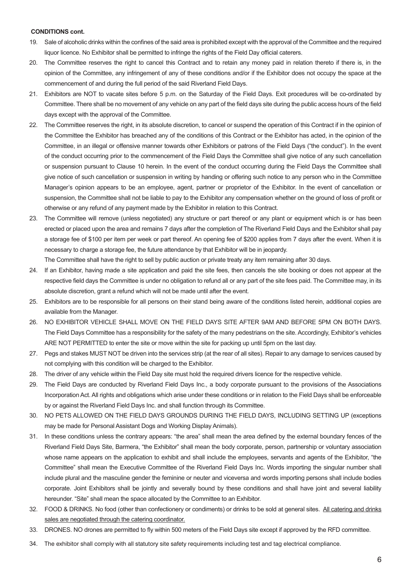#### **CONDITIONS cont.**

- 19. Sale of alcoholic drinks within the confines of the said area is prohibited except with the approval of the Committee and the required liquor licence. No Exhibitor shall be permitted to infringe the rights of the Field Day official caterers.
- 20. The Committee reserves the right to cancel this Contract and to retain any money paid in relation thereto if there is, in the opinion of the Committee, any infringement of any of these conditions and/or if the Exhibitor does not occupy the space at the commencement of and during the full period of the said Riverland Field Days.
- 21. Exhibitors are NOT to vacate sites before 5 p.m. on the Saturday of the Field Days. Exit procedures will be co-ordinated by Committee. There shall be no movement of any vehicle on any part of the field days site during the public access hours of the field days except with the approval of the Committee.
- 22. The Committee reserves the right, in its absolute discretion, to cancel or suspend the operation of this Contract if in the opinion of the Committee the Exhibitor has breached any of the conditions of this Contract or the Exhibitor has acted, in the opinion of the Committee, in an illegal or offensive manner towards other Exhibitors or patrons of the Field Days ("the conduct"). In the event of the conduct occurring prior to the commencement of the Field Days the Committee shall give notice of any such cancellation or suspension pursuant to Clause 10 herein. In the event of the conduct occurring during the Field Days the Committee shall give notice of such cancellation or suspension in writing by handing or offering such notice to any person who in the Committee Manager's opinion appears to be an employee, agent, partner or proprietor of the Exhibitor. In the event of cancellation or suspension, the Committee shall not be liable to pay to the Exhibitor any compensation whether on the ground of loss of profit or otherwise or any refund of any payment made by the Exhibitor in relation to this Contract.
- 23. The Committee will remove (unless negotiated) any structure or part thereof or any plant or equipment which is or has been erected or placed upon the area and remains 7 days after the completion of The Riverland Field Days and the Exhibitor shall pay a storage fee of \$100 per item per week or part thereof. An opening fee of \$200 applies from 7 days after the event. When it is necessary to charge a storage fee, the future attendance by that Exhibitor will be in jeopardy.

The Committee shall have the right to sell by public auction or private treaty any item remaining after 30 days.

- 24. If an Exhibitor, having made a site application and paid the site fees, then cancels the site booking or does not appear at the respective field days the Committee is under no obligation to refund all or any part of the site fees paid. The Committee may, in its absolute discretion, grant a refund which will not be made until after the event.
- 25. Exhibitors are to be responsible for all persons on their stand being aware of the conditions listed herein, additional copies are available from the Manager.
- 26. NO EXHIBITOR VEHICLE SHALL MOVE ON THE FIELD DAYS SITE AFTER 9AM AND BEFORE 5PM ON BOTH DAYS. The Field Days Committee has a responsibility for the safety of the many pedestrians on the site. Accordingly, Exhibitor's vehicles ARE NOT PERMITTED to enter the site or move within the site for packing up until 5pm on the last day.
- 27. Pegs and stakes MUST NOT be driven into the services strip (at the rear of all sites). Repair to any damage to services caused by not complying with this condition will be charged to the Exhibitor.
- 28. The driver of any vehicle within the Field Day site must hold the required drivers licence for the respective vehicle.
- 29. The Field Days are conducted by Riverland Field Days Inc., a body corporate pursuant to the provisions of the Associations Incorporation Act. All rights and obligations which arise under these conditions or in relation to the Field Days shall be enforceable by or against the Riverland Field Days Inc. and shall function through its Committee.
- 30. NO PETS ALLOWED ON THE FIELD DAYS GROUNDS DURING THE FIELD DAYS, INCLUDING SETTING UP (exceptions may be made for Personal Assistant Dogs and Working Display Animals).
- 31. In these conditions unless the contrary appears: "the area" shall mean the area defined by the external boundary fences of the Riverland Field Days Site, Barmera, "the Exhibitor" shall mean the body corporate, person, partnership or voluntary association whose name appears on the application to exhibit and shall include the employees, servants and agents of the Exhibitor, "the Committee" shall mean the Executive Committee of the Riverland Field Days Inc. Words importing the singular number shall include plural and the masculine gender the feminine or neuter and viceversa and words importing persons shall include bodies corporate. Joint Exhibitors shall be jointly and severally bound by these conditions and shall have joint and several liability hereunder. "Site" shall mean the space allocated by the Committee to an Exhibitor.
- 32. FOOD & DRINKS. No food (other than confectionery or condiments) or drinks to be sold at general sites. All catering and drinks sales are negotiated through the catering coordinator.
- 33. DRONES. NO drones are permitted to fly within 500 meters of the Field Days site except if approved by the RFD committee.
- 34. The exhibitor shall comply with all statutory site safety requirements including test and tag electrical compliance.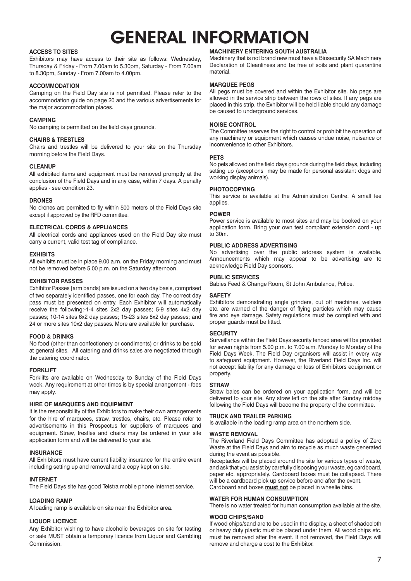# **GENERAL INFORMATION**

#### **ACCESS TO SITES**

Exhibitors may have access to their site as follows: Wednesday, MachinerythatisnotbrandnewmusthaveaBiosecuritySAMachinery Thursday & Friday - From 7.00am to 5.30pm, Saturday - From 7.00am Declaration of Cleanliness and be free of solls and plant quarantine 8.30pm, Friday- From 7.00am to 4.00pm. placed in this strip, the exhibitor will be held liable should any damage be to 8.30pm, Sunday - From 7.00am to 4.00pm.

#### **ACCOMMODATION ACCOMMODATION**

Camping on the Field Day site is not permitted. Please refer to the **All Pegs must be can** accommodation guide on page 20 and the various advertisements for allowed in the service supposed in the revision of the site for the site for the site for tasking or tasting or tasting the site for the site for the site f the major accommodation places. The major accommodation places in the major and Gambling and Gambling and Gambling and Gambling and Gambling and Gambling and Gambling and Gambling and Gambling and Gambling and Gambling and

#### **CAMPING**

Secretary at least 30 days before the event for bulk submissions. **CAR PARKING** No camping is permitted on the field days grounds.<br>The Contribution of the site of the site of the site of the contribution of the site of the contribution of the t

#### **CHAIRS & TRESTLES**

CHAIRS & IRESTLES<br>Chairs and trestles will be delivered to your site on the Thursday<br>morning before the Field Days. morning before the Field Days.

#### **CLEANUP**

All exhibited items and equipment must be removed promptly at the conclusion of the Field Days and in any case, within 7 days. A penalty applies - see condition 23.

#### **DRONES**

DRONES<br>No drones are permitted to fly within 500 meters of the Field Days site<br>DOWER except if approved by the RFD committee.

#### **CLEANUP ELECTRICAL CORDS & APPLIANCES**

application form. Bring your own a<br>All electrical cords and appliances used on the Field Day site must to 30m. All electrical cords and appliances used on the Field Day site must to 30m.<br>carry a current, valid test tag of compliance.

#### **EXHIBITS**

**ELECTRICAL CORDS & APPLIANCES** All exhibits must be in place 9.00 a.m. on the Friday morning and must All extensive the cordinate of the Cordinate on the Field Day site model and must carry and must carry **PUBLIC SERVICES** not be removed before 5.00 p.m. on the Saturday afternoon.<br>
a strategy and the second property are a strategy sponsors.

#### **EXHIBITOR PASSES**

Exhibitor Passes [arm bands] are issued on a two day basis, comprised of two separately identified passes, one for each day. The correct day **SAFETY** pass must be presented on entry. Each Exhibitor will automatically Exhibitors demonstrating angle grinders, cut off machines, welders passes: 10-14 sites 6x2 day passes: 15-23 sites 8x2 day passes: and fire and eye damage. Safety regulations must be complied with and place by 1.00 a.m. on the wednesday must be the Call any place by and the Wednesday must be fired. and must not be removed before 5.00 p.m. on the Thursday afternoon. pass must be presented on entry. Each Exhibitor will automatically receive the following:-1-4 sites 2x2 day passes; 5-9 sites 4x2 day passes; 10-14 sites 6x2 day passes; 15-23 sites 8x2 day passes; and

#### **FOOD & DRINKS**

No food (other than confectionery or condiments) or drinks to be sold<br>
Survey with from E.00 p.m. the P.00 p.m. Mandau to Mandau of the exhibitor Passes are included through and the six nights from a two data for six nights from 5.00 p.m. to 7.00 a.m. The Friday inclusive will be sixt in event way the catering coordinator.

#### **FORKLIFT**

Forklifts are available on Wednesday to Sunday of the Field Days week. Any requirement at other times is by special arrangement - fees **STRAW** may apply.

#### **HIRE OF MARQUEES AND EQUIPMENT**

It is the responsibility of the Exhibitors to make their own arrangements for the hire of marquees, straw, trestles, chairs, etc. Please refer to **FRUCK AND TRAILER PARKING** equipment. Straw, trestles and chairs may be ordered in your site<br>application form and will be delivered to your site.<br>Waste at the Field Days and aim to recycle as much waste generated<br>waste at the Field Days and aim to r advertisements in this Prospectus for suppliers of marquees and equipment. Straw, trestles and chairs may be ordered in your site application form and will be delivered to your site.

#### **INSURANCE**

All Exhibitors must have current liability insurance for the entire event Receptacles will be including setting up and removal and a copy kept on site.

#### $\blacksquare$ for the hire of matrices, straw, trestles, chairs, etc. Please refer to  $\blacksquare$ **INTERNET**

advertisements<br>The Field Develoke heel geed Teletre mebile phone internationalise The Field Days site has good Telstra mobile phone internet service.

#### application form and will be delivered to your site. **LOADING RAMP**

A loading ramp is available on site near the Exhibitor area.

#### Liability insurance by all exhibitors for the entire event **LIQUOR LICENCE** must be placed

If wood chips/sand are to be use<br>Any Exhibitor wishing to have alcoholic beverages on site for tasting some heavy duty plastic must be pl or sale MUST obtain a temporary licence from Liquor and Gambling must be removed after the event. If not removed, the Figure 1.<br>Commission Internet connection is available through the mobile phone Next German is available phone Next German is a second through the mobile phone Next German is a second through the mobile phone Next German is a second through the Commission.

#### **ACCESS TO SITES MARQUEE PEGS MACHINERY ENTERING SOUTH AUSTRALIA**

Machinery that is not brand new must have a Biosecurity SA Machinery Declaration of Cleanliness and be free of soils and plant quarantine material.

#### **MARQUEE PEGS**

be caused to underground services. All pegs must be covered and within the Exhibitor site. No pegs are allowed in the service strip between the rows of sites. If any pegs are placed in this strip, the Exhibitor will be held liable should any damage

#### **NOISE CONTROL**

 The Committee reserves the right to control or prohibit the operation of any machinery or equipment which causes undue noise, nuisance or inconvenience to other Exhibitors.

#### **PETS**

No pets allowed on the field days grounds during the field days, including<br>All exhibited items and equipment must be removed promptly at the setting up (exceptions may be made for personal assistant dogs and<br>conclusion of No pets allowed on the field days grounds during the field days, including setting up (exceptions may be made for personal assistant dogs and working display animals).

#### **PHOTOCOPYING**

**CHAIRS & CHAIRS & CHAIRS & CHAIRS & CHAIRS & CHAIRS & CHAIRS & CHAIRS & CHAIRS & CHAIRS & CHAIRS & CHAIRS & CHAIRS & CHAIRS & CHAIRS & CHAIRS & CHAIRS & CHAIRS & CHAIRS & CHAIRS & CHAIRS & CHAIRS & CHAIRS & CHAIRS & CHAIR** This service is available at the Administration Centre. A small fee applies.

#### **POWER**

30m. Power service is available to most sites and may be booked on your application form. Bring your own test compliant extension cord - up to 30m.

#### **PUBLIC ADDRESS ADVERTISING**

No advertising over the public address system is available. Announcements which may appear to be advertising are to acknowledge Field Day sponsors.

#### **PUBLIC SERVICES**

POBLIC SLAVICLS<br>Babies Feed & Change Room, St John Ambulance, Police.

#### **SAFETY**

etc. are warned of the danger of flying particles which may cause proper guards must be fitted.

#### **SECURITY SECURITY**

The catering coordinator.<br>
The catering coordinator.<br>
The catering coordinator.<br>
The catering coordinator and the caterial coordinator and the caterial coordinator and the caterial coordination of accept liability for any Surveillance within the Field Days security fenced area will be provided for seven nights from 5.00 p.m. to 7.00 a.m. Monday to Monday of the Field Days Week. The Field Day organisers will assist in every way to safeguard equipment. However, the Riverland Field Days Inc. will property.

#### **STRAW**

Straw bales can be ordered on your application form, and will be Straw bales can be ordered on your application form, and will be delivered to your site. Any straw left on the site after Sunday midday HIRE OF MARQUEES AND EQUIPMENT **For a state on the Monday area available on the Monday** and Thursday and Thursday of the Committee.

#### **TRUCK AND TRAILER PARKING**

Is available in the loading ramp area on the northern side.

#### **WASTE REMOVAL**

The Riverland Field Days Committee has adopted a policy of Zero Waste at the Field Days and aim to recycle as much waste generated during the event as possible.

and ask that you assist by carefully disposing your waste, eg cardboard, paper etc. appropriately. Cardboard boxes must be collapsed. There will be a cardboard pick up service before and after the event. Cardboard and boxes **must not** be placed in wheelie bins. Receptacles will be placed around the site for various types of waste,

#### ask that you assist us by carefully disposing your waste, eg cardboard, WATER FOR HUMAN CONSUMPTION

There is no water treated for human consumption available at the site.

### **WOOD CHIPS/SAND**

If wood chips/sand are to be used in the display, a sheet of shadecloth or heavy duty plastic must be placed under them. All wood chips etc. must be removed after the event. If not removed, the Field Days will remove and charge a cost to the Exhibitor.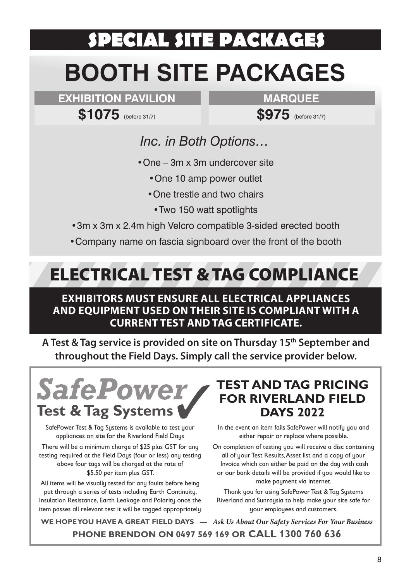# **SPECIAL SITE PACKAGES BOOTH SITE PACKAGES**

**EXHIBITION PAVILION**

**MARQUEE**

**\$1075** (before 31/7)

**\$975** (before 31/7)

# *Inc. in Both Options…*

- •One 3m x 3m undercover site
	- •One 10 amp power outlet
	- •One trestle and two chairs
		- •Two 150 watt spotlights
- •3m x 3m x 2.4m high Velcro compatible 3-sided erected booth
- •Company name on fascia signboard over the front of the booth

# ELECTRICAL TEST & TAG COMPLIANCE

## **EXHIBITORS MUST ENSURE ALL ELECTRICAL APPLIANCES AND EQUIPMENT USED ON THEIR SITE IS COMPLIANT WITH A CURRENT TEST AND TAG CERTIFICATE.**

**A Test & Tag service is provided on site on Thursday 15th September and throughout the Field Days. Simply call the service provider below.**



SafePower Test & Tag Systems is available to test your appliances on site for the Riverland Field Days

There will be a minimum charge of \$25 plus GST for any testing required at the Field Days (four or less) any testing above four tags will be charged at the rate of \$5.50 per item plus GST.

All items will be visually tested for any faults before being put through a series of tests including Earth Continuity, Insulation Resistance, Earth Leakage and Polarity once the item passes all relevant test it will be tagged appropriately.

# **TEST AND TAG PRICING FOR RIVERLAND FIELD DAYS 2022**

In the event an item fails SafePower will notify you and either repair or replace where possible.

On completion of testing you will receive a disc containing all of your Test Results, Asset list and a copy of your Invoice which can either be paid on the day with cash or our bank details will be provided if you would like to make payment via internet.

Thank you for using SafePower Test & Tag Systems Riverland and Sunraysia to help make your site safe for your employees and customers.

**WE HOPE YOU HAVE A GREAT FIELD DAYS —** *Ask Us About Our Safety Services For Your Business* **PHONE BRENDON ON 0497 569 169 OR CALL 1300 760 636**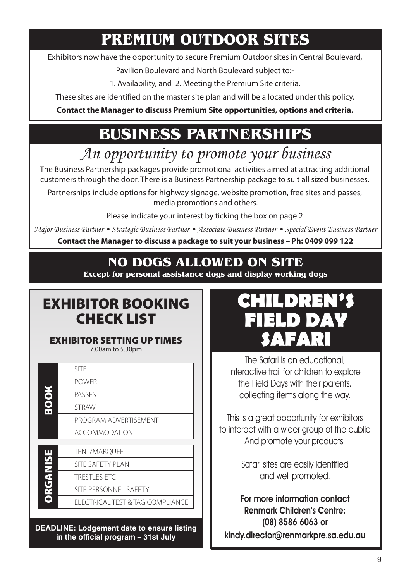# **PREMIUM OUTDOOR SITES**

Exhibitors now have the opportunity to secure Premium Outdoor sites in Central Boulevard,

Pavilion Boulevard and North Boulevard subject to:-

1. Availability, and 2. Meeting the Premium Site criteria.

These sites are identified on the master site plan and will be allocated under this policy.

**Contact the Manager to discuss Premium Site opportunities, options and criteria.**

# **BUSINESS PARTNERSHIPS**

# *An opportunity to promote your business*

The Business Partnership packages provide promotional activities aimed at attracting additional customers through the door. There is a Business Partnership package to suit all sized businesses.

Partnerships include options for highway signage, website promotion, free sites and passes, media promotions and others.

Please indicate your interest by ticking the box on page 2

*Major Business Partner • Strategic Business Partner • Associate Business Partner • Special Event Business Partner*

**Contact the Manager to discuss a package to suit your business – Ph: 0409 099 122**

## **NO DOGS ALLOWED ON SITE NO EXHIBITOR VEHICLE MOVEMENT ON SITE 9.00am to 5.00pm**

**Except for personal assistance dogs and display working dogs The Site on the site on the site on the site on the site on the site on the site on the site on the site on the site during**  $\alpha$ 

# EXHIBITOR BOOKING CHECK LIST

## EXHIBITOR SETTING UP TIMES

7.00am to 5.30pm

|               | <b>SITF</b>                      |
|---------------|----------------------------------|
|               | <b>POWER</b>                     |
|               | PASSES                           |
| SO(2)         | <b>STRAW</b>                     |
|               | PROGRAM ADVERTISEMENT            |
|               | <b>ACCOMMODATION</b>             |
|               |                                  |
|               | TENT/MARQUEE                     |
|               | <b>SITE SAFETY PLAN</b>          |
|               | <b>TRESTLES ETC</b>              |
| <b>PRINTS</b> | SITE PERSONNEL SAFETY            |
|               | ELECTRICAL TEST & TAG COMPLIANCE |
|               |                                  |

**DEADLINE: Lodgement date to ensure listing in the official program – 31st July**



The Safari is an educational, interactive trail for children to explore the Field Days with their parents, collecting items along the way.

This is a great opportunity for exhibitors to interact with a wider group of the public And promote your products.

> Safari sites are easily identified and well promoted.

**For more information contact Renmark Children's Centre: (08) 8586 6063 or kindy.director@renmarkpre.sa.edu.au**